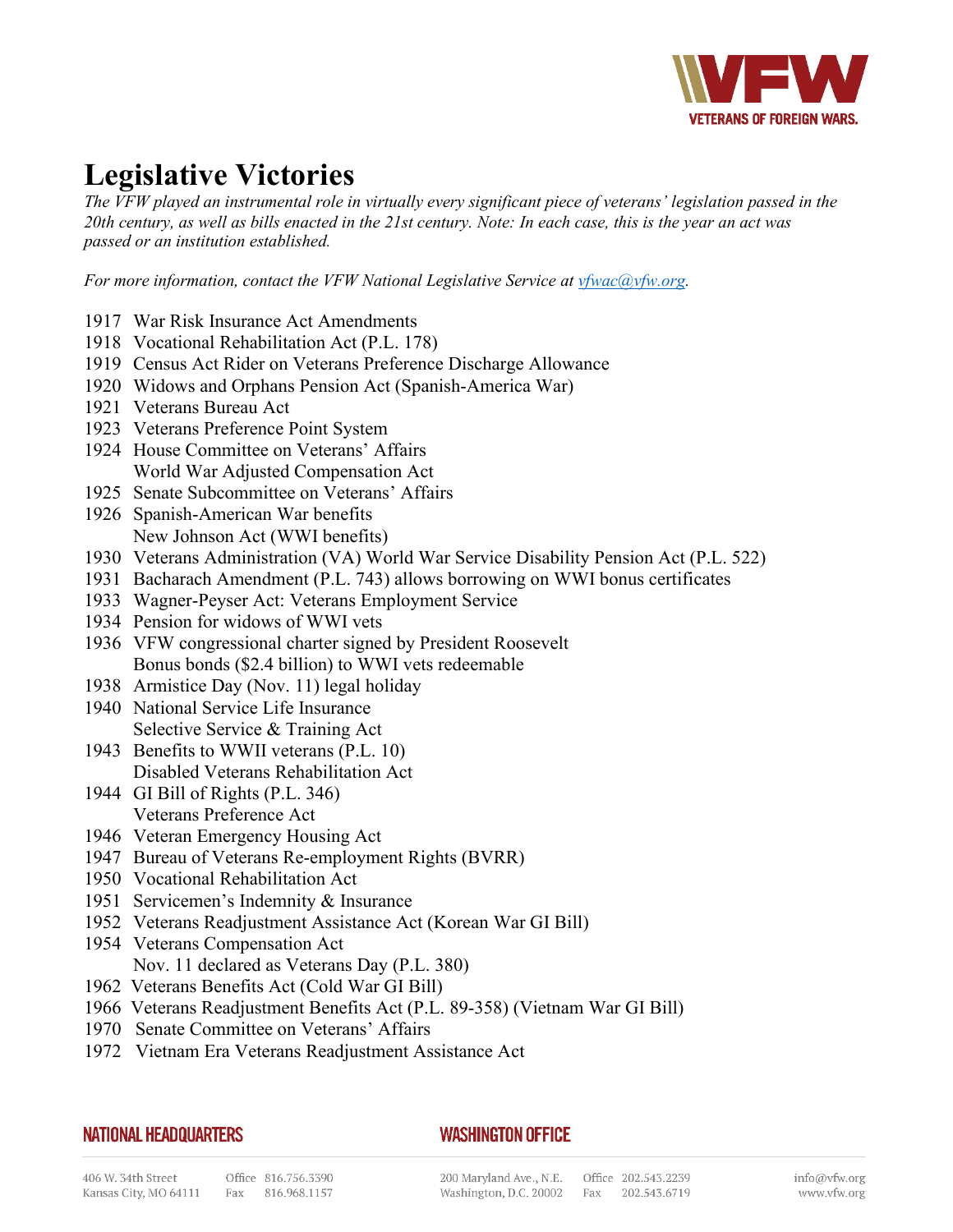

## **Legislative Victories**

*The VFW played an instrumental role in virtually every significant piece of veterans' legislation passed in the 20th century, as well as bills enacted in the 21st century. Note: In each case, this is the year an act was passed or an institution established.*

*For more information, contact the VFW National Legislative Service at [vfwac@vfw.org.](mailto:vfwac@vfw.org)*

- 1917 War Risk Insurance Act Amendments
- 1918 Vocational Rehabilitation Act (P.L. 178)
- 1919 Census Act Rider on Veterans Preference Discharge Allowance
- 1920 Widows and Orphans Pension Act (Spanish-America War)
- 1921 Veterans Bureau Act
- 1923 Veterans Preference Point System
- 1924 House Committee on Veterans' Affairs World War Adjusted Compensation Act
- 1925 Senate Subcommittee on Veterans' Affairs
- 1926 Spanish-American War benefits New Johnson Act (WWI benefits)
- 1930 Veterans Administration (VA) World War Service Disability Pension Act (P.L. 522)
- 1931 Bacharach Amendment (P.L. 743) allows borrowing on WWI bonus certificates
- 1933 Wagner-Peyser Act: Veterans Employment Service
- 1934 Pension for widows of WWI vets
- 1936 VFW congressional charter signed by President Roosevelt Bonus bonds (\$2.4 billion) to WWI vets redeemable
- 1938 Armistice Day (Nov. 11) legal holiday
- 1940 National Service Life Insurance Selective Service & Training Act
- 1943 Benefits to WWII veterans (P.L. 10) Disabled Veterans Rehabilitation Act
- 1944 GI Bill of Rights (P.L. 346) Veterans Preference Act
- 1946 Veteran Emergency Housing Act
- 1947 Bureau of Veterans Re-employment Rights (BVRR)
- 1950 Vocational Rehabilitation Act
- 1951 Servicemen's Indemnity & Insurance
- 1952 Veterans Readjustment Assistance Act (Korean War GI Bill)
- 1954 Veterans Compensation Act Nov. 11 declared as Veterans Day (P.L. 380)
- 1962 Veterans Benefits Act (Cold War GI Bill)
- 1966 Veterans Readjustment Benefits Act (P.L. 89-358) (Vietnam War GI Bill)
- 1970 Senate Committee on Veterans' Affairs
- 1972 Vietnam Era Veterans Readjustment Assistance Act

## **NATIONAL HEADQUARTERS**

## **WASHINGTON OFFICE**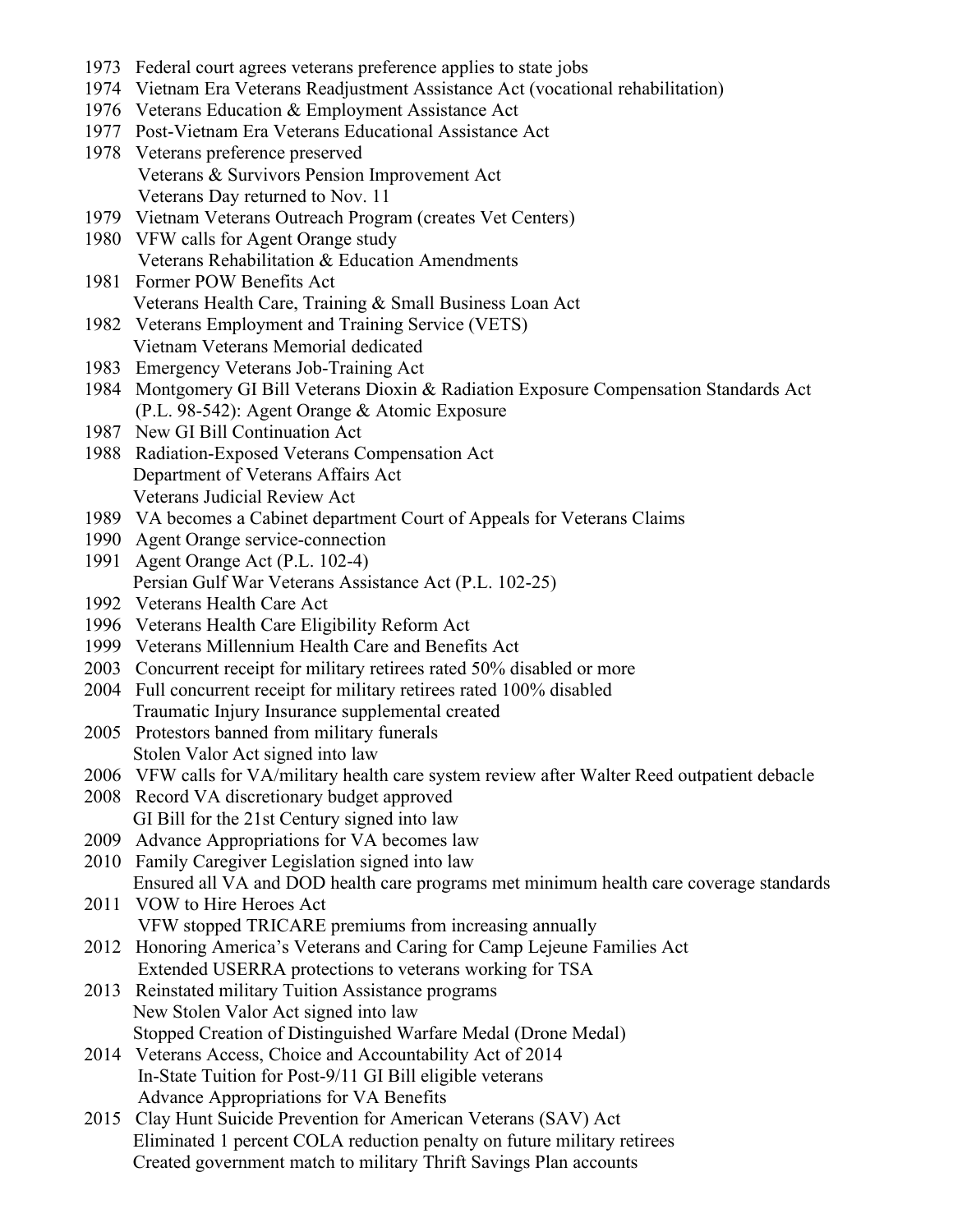- 1973 Federal court agrees veterans preference applies to state jobs
- 1974 Vietnam Era Veterans Readjustment Assistance Act (vocational rehabilitation)
- 1976 Veterans Education & Employment Assistance Act
- 1977 Post-Vietnam Era Veterans Educational Assistance Act
- 1978 Veterans preference preserved Veterans & Survivors Pension Improvement Act Veterans Day returned to Nov. 11
- 1979 Vietnam Veterans Outreach Program (creates Vet Centers)
- 1980 VFW calls for Agent Orange study Veterans Rehabilitation & Education Amendments
- 1981 Former POW Benefits Act Veterans Health Care, Training & Small Business Loan Act
- 1982 Veterans Employment and Training Service (VETS) Vietnam Veterans Memorial dedicated
- 1983 Emergency Veterans Job-Training Act
- 1984 Montgomery GI Bill Veterans Dioxin & Radiation Exposure Compensation Standards Act (P.L. 98-542): Agent Orange & Atomic Exposure
- 1987 New GI Bill Continuation Act
- 1988 Radiation-Exposed Veterans Compensation Act Department of Veterans Affairs Act Veterans Judicial Review Act
- 1989 VA becomes a Cabinet department Court of Appeals for Veterans Claims
- 1990 Agent Orange service-connection
- 1991 Agent Orange Act (P.L. 102-4) Persian Gulf War Veterans Assistance Act (P.L. 102-25)
- 1992 Veterans Health Care Act
- 1996 Veterans Health Care Eligibility Reform Act
- 1999 Veterans Millennium Health Care and Benefits Act
- 2003 Concurrent receipt for military retirees rated 50% disabled or more
- 2004 Full concurrent receipt for military retirees rated 100% disabled Traumatic Injury Insurance supplemental created
- 2005 Protestors banned from military funerals Stolen Valor Act signed into law
- 2006 VFW calls for VA/military health care system review after Walter Reed outpatient debacle
- 2008 Record VA discretionary budget approved GI Bill for the 21st Century signed into law
- 2009 Advance Appropriations for VA becomes law
- 2010 Family Caregiver Legislation signed into law Ensured all VA and DOD health care programs met minimum health care coverage standards
- 2011 VOW to Hire Heroes Act VFW stopped TRICARE premiums from increasing annually
- 2012 Honoring America's Veterans and Caring for Camp Lejeune Families Act Extended USERRA protections to veterans working for TSA
- 2013 Reinstated military Tuition Assistance programs New Stolen Valor Act signed into law Stopped Creation of Distinguished Warfare Medal (Drone Medal)
- 2014 Veterans Access, Choice and Accountability Act of 2014 In-State Tuition for Post-9/11 GI Bill eligible veterans Advance Appropriations for VA Benefits
- 2015 Clay Hunt Suicide Prevention for American Veterans (SAV) Act Eliminated 1 percent COLA reduction penalty on future military retirees Created government match to military Thrift Savings Plan accounts